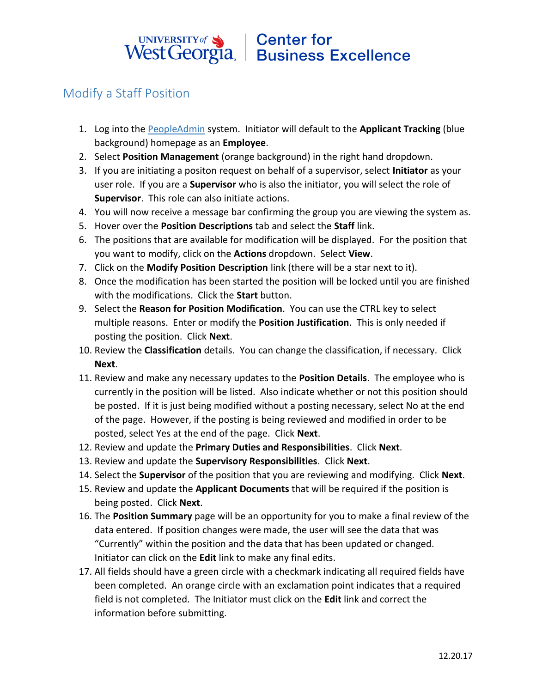## UNIVERSITY of Sand Center for<br>West Georgia. Business Excellence

## Modify a Staff Position

- 1. Log into the [PeopleAdmin](https://jobs.westga.edu/hr) system. Initiator will default to the **Applicant Tracking** (blue background) homepage as an **Employee**.
- 2. Select **Position Management** (orange background) in the right hand dropdown.
- 3. If you are initiating a positon request on behalf of a supervisor, select **Initiator** as your user role. If you are a **Supervisor** who is also the initiator, you will select the role of **Supervisor**. This role can also initiate actions.
- 4. You will now receive a message bar confirming the group you are viewing the system as.
- 5. Hover over the **Position Descriptions** tab and select the **Staff** link.
- 6. The positions that are available for modification will be displayed. For the position that you want to modify, click on the **Actions** dropdown. Select **View**.
- 7. Click on the **Modify Position Description** link (there will be a star next to it).
- 8. Once the modification has been started the position will be locked until you are finished with the modifications. Click the **Start** button.
- 9. Select the **Reason for Position Modification**. You can use the CTRL key to select multiple reasons. Enter or modify the **Position Justification**. This is only needed if posting the position. Click **Next**.
- 10. Review the **Classification** details. You can change the classification, if necessary. Click **Next**.
- 11. Review and make any necessary updates to the **Position Details**. The employee who is currently in the position will be listed. Also indicate whether or not this position should be posted. If it is just being modified without a posting necessary, select No at the end of the page. However, if the posting is being reviewed and modified in order to be posted, select Yes at the end of the page. Click **Next**.
- 12. Review and update the **Primary Duties and Responsibilities**. Click **Next**.
- 13. Review and update the **Supervisory Responsibilities**. Click **Next**.
- 14. Select the **Supervisor** of the position that you are reviewing and modifying. Click **Next**.
- 15. Review and update the **Applicant Documents** that will be required if the position is being posted. Click **Next**.
- 16. The **Position Summary** page will be an opportunity for you to make a final review of the data entered. If position changes were made, the user will see the data that was "Currently" within the position and the data that has been updated or changed. Initiator can click on the **Edit** link to make any final edits.
- 17. All fields should have a green circle with a checkmark indicating all required fields have been completed. An orange circle with an exclamation point indicates that a required field is not completed. The Initiator must click on the **Edit** link and correct the information before submitting.